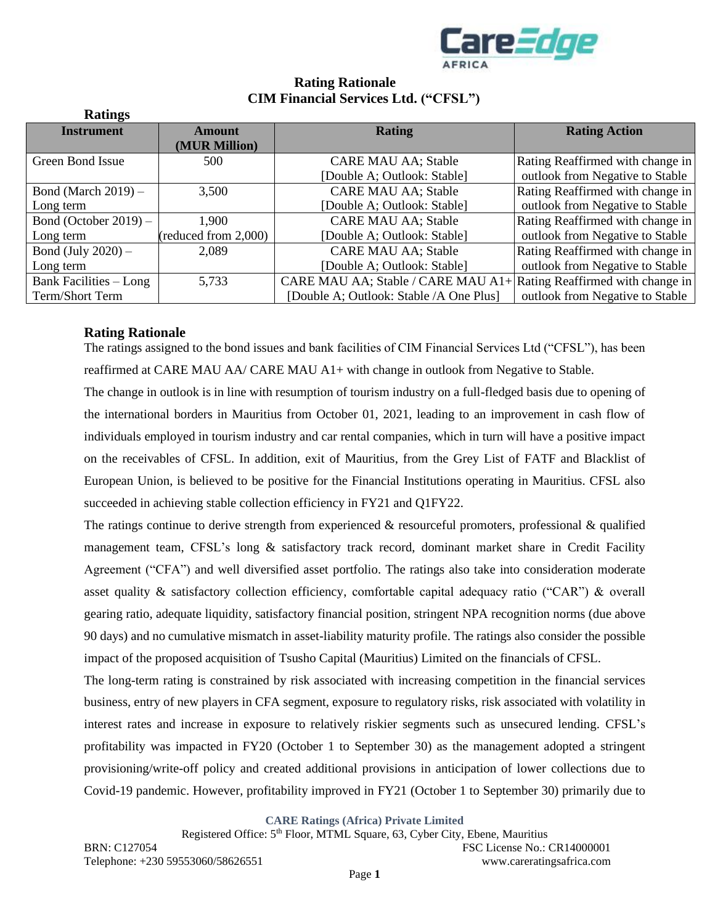

# **Rating Rationale CIM Financial Services Ltd. ("CFSL")**

| <b>Ratings</b>                |                      |                                                                             |                                  |
|-------------------------------|----------------------|-----------------------------------------------------------------------------|----------------------------------|
| <b>Instrument</b>             | Amount               | <b>Rating</b>                                                               | <b>Rating Action</b>             |
|                               | (MUR Million)        |                                                                             |                                  |
| Green Bond Issue              | 500                  | <b>CARE MAU AA; Stable</b>                                                  | Rating Reaffirmed with change in |
|                               |                      | [Double A; Outlook: Stable]                                                 | outlook from Negative to Stable  |
| Bond (March $2019$ ) –        | 3,500                | <b>CARE MAU AA; Stable</b>                                                  | Rating Reaffirmed with change in |
| Long term                     |                      | [Double A; Outlook: Stable]                                                 | outlook from Negative to Stable  |
| Bond (October 2019) $-$       | 1,900                | <b>CARE MAU AA; Stable</b>                                                  | Rating Reaffirmed with change in |
| Long term                     | (reduced from 2,000) | [Double A; Outlook: Stable]                                                 | outlook from Negative to Stable  |
| Bond (July $2020$ ) –         | 2,089                | <b>CARE MAU AA; Stable</b>                                                  | Rating Reaffirmed with change in |
| Long term                     |                      | [Double A; Outlook: Stable]                                                 | outlook from Negative to Stable  |
| <b>Bank Facilities - Long</b> | 5,733                | CARE MAU AA; Stable / CARE MAU A1+ $\vert$ Rating Reaffirmed with change in |                                  |
| Term/Short Term               |                      | [Double A; Outlook: Stable /A One Plus]                                     | outlook from Negative to Stable  |

## **Rating Rationale**

The ratings assigned to the bond issues and bank facilities of CIM Financial Services Ltd ("CFSL"), has been reaffirmed at CARE MAU AA/ CARE MAU A1+ with change in outlook from Negative to Stable.

The change in outlook is in line with resumption of tourism industry on a full-fledged basis due to opening of the international borders in Mauritius from October 01, 2021, leading to an improvement in cash flow of individuals employed in tourism industry and car rental companies, which in turn will have a positive impact on the receivables of CFSL. In addition, exit of Mauritius, from the Grey List of FATF and Blacklist of European Union, is believed to be positive for the Financial Institutions operating in Mauritius. CFSL also succeeded in achieving stable collection efficiency in FY21 and Q1FY22.

The ratings continue to derive strength from experienced  $\&$  resourceful promoters, professional  $\&$  qualified management team, CFSL's long & satisfactory track record, dominant market share in Credit Facility Agreement ("CFA") and well diversified asset portfolio. The ratings also take into consideration moderate asset quality & satisfactory collection efficiency, comfortable capital adequacy ratio ("CAR") & overall gearing ratio, adequate liquidity, satisfactory financial position, stringent NPA recognition norms (due above 90 days) and no cumulative mismatch in asset-liability maturity profile. The ratings also consider the possible impact of the proposed acquisition of Tsusho Capital (Mauritius) Limited on the financials of CFSL.

The long-term rating is constrained by risk associated with increasing competition in the financial services business, entry of new players in CFA segment, exposure to regulatory risks, risk associated with volatility in interest rates and increase in exposure to relatively riskier segments such as unsecured lending. CFSL's profitability was impacted in FY20 (October 1 to September 30) as the management adopted a stringent provisioning/write-off policy and created additional provisions in anticipation of lower collections due to Covid-19 pandemic. However, profitability improved in FY21 (October 1 to September 30) primarily due to

**CARE Ratings (Africa) Private Limited**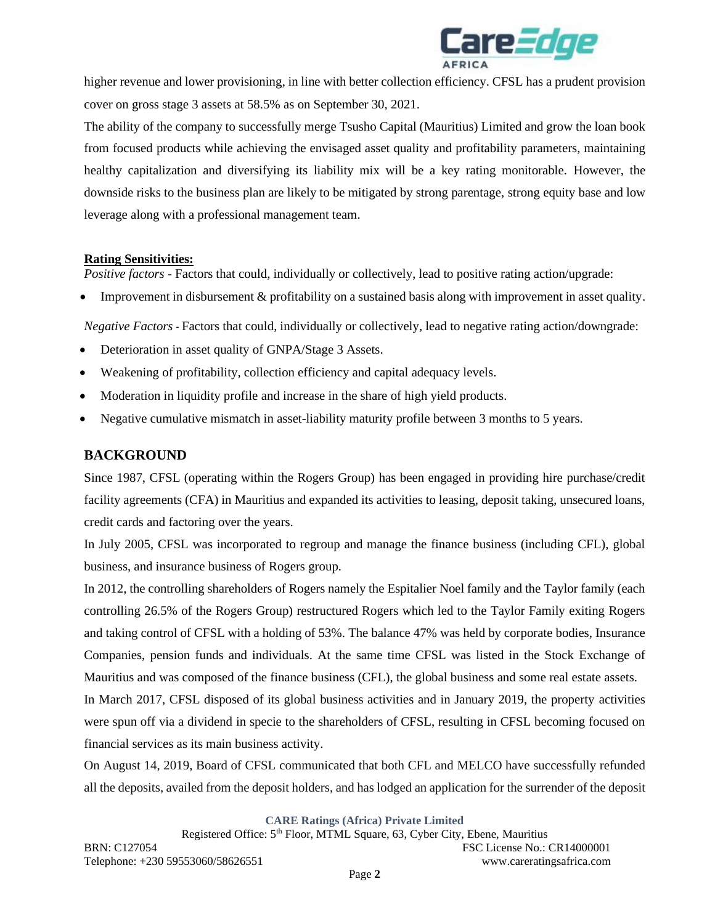

higher revenue and lower provisioning, in line with better collection efficiency. CFSL has a prudent provision cover on gross stage 3 assets at 58.5% as on September 30, 2021.

The ability of the company to successfully merge Tsusho Capital (Mauritius) Limited and grow the loan book from focused products while achieving the envisaged asset quality and profitability parameters, maintaining healthy capitalization and diversifying its liability mix will be a key rating monitorable. However, the downside risks to the business plan are likely to be mitigated by strong parentage, strong equity base and low leverage along with a professional management team.

## **Rating Sensitivities:**

*Positive factors* - Factors that could, individually or collectively, lead to positive rating action/upgrade:

• Improvement in disbursement & profitability on a sustained basis along with improvement in asset quality.

*Negative Factors -* Factors that could, individually or collectively, lead to negative rating action/downgrade:

- Deterioration in asset quality of GNPA/Stage 3 Assets.
- Weakening of profitability, collection efficiency and capital adequacy levels.
- Moderation in liquidity profile and increase in the share of high yield products.
- Negative cumulative mismatch in asset-liability maturity profile between 3 months to 5 years.

# **BACKGROUND**

Since 1987, CFSL (operating within the Rogers Group) has been engaged in providing hire purchase/credit facility agreements (CFA) in Mauritius and expanded its activities to leasing, deposit taking, unsecured loans, credit cards and factoring over the years.

In July 2005, CFSL was incorporated to regroup and manage the finance business (including CFL), global business, and insurance business of Rogers group.

In 2012, the controlling shareholders of Rogers namely the Espitalier Noel family and the Taylor family (each controlling 26.5% of the Rogers Group) restructured Rogers which led to the Taylor Family exiting Rogers and taking control of CFSL with a holding of 53%. The balance 47% was held by corporate bodies, Insurance Companies, pension funds and individuals. At the same time CFSL was listed in the Stock Exchange of Mauritius and was composed of the finance business (CFL), the global business and some real estate assets.

In March 2017, CFSL disposed of its global business activities and in January 2019, the property activities were spun off via a dividend in specie to the shareholders of CFSL, resulting in CFSL becoming focused on financial services as its main business activity.

On August 14, 2019, Board of CFSL communicated that both CFL and MELCO have successfully refunded all the deposits, availed from the deposit holders, and has lodged an application for the surrender of the deposit

**CARE Ratings (Africa) Private Limited**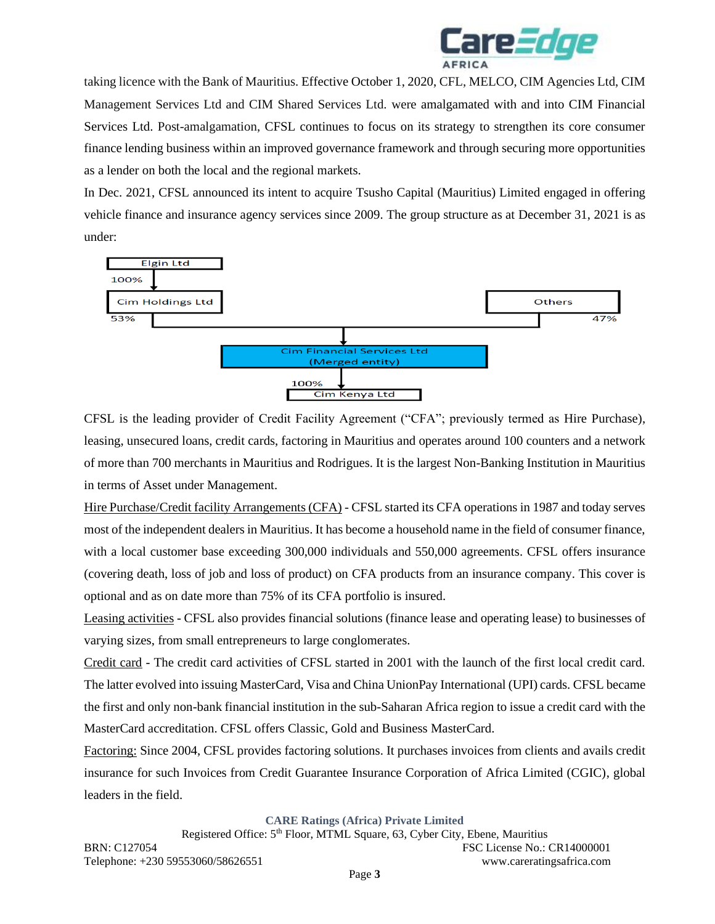

taking licence with the Bank of Mauritius. Effective October 1, 2020, CFL, MELCO, CIM Agencies Ltd, CIM Management Services Ltd and CIM Shared Services Ltd. were amalgamated with and into CIM Financial Services Ltd. Post-amalgamation, CFSL continues to focus on its strategy to strengthen its core consumer finance lending business within an improved governance framework and through securing more opportunities as a lender on both the local and the regional markets.

In Dec. 2021, CFSL announced its intent to acquire Tsusho Capital (Mauritius) Limited engaged in offering vehicle finance and insurance agency services since 2009. The group structure as at December 31, 2021 is as under:



CFSL is the leading provider of Credit Facility Agreement ("CFA"; previously termed as Hire Purchase), leasing, unsecured loans, credit cards, factoring in Mauritius and operates around 100 counters and a network of more than 700 merchants in Mauritius and Rodrigues. It is the largest Non-Banking Institution in Mauritius in terms of Asset under Management.

Hire Purchase/Credit facility Arrangements (CFA) - CFSL started its CFA operations in 1987 and today serves most of the independent dealers in Mauritius. It has become a household name in the field of consumer finance, with a local customer base exceeding 300,000 individuals and 550,000 agreements. CFSL offers insurance (covering death, loss of job and loss of product) on CFA products from an insurance company. This cover is optional and as on date more than 75% of its CFA portfolio is insured.

Leasing activities - CFSL also provides financial solutions (finance lease and operating lease) to businesses of varying sizes, from small entrepreneurs to large conglomerates.

Credit card - The credit card activities of CFSL started in 2001 with the launch of the first local credit card. The latter evolved into issuing MasterCard, Visa and China UnionPay International (UPI) cards. CFSL became the first and only non-bank financial institution in the sub-Saharan Africa region to issue a credit card with the MasterCard accreditation. CFSL offers Classic, Gold and Business MasterCard.

Factoring: Since 2004, CFSL provides factoring solutions. It purchases invoices from clients and avails credit insurance for such Invoices from Credit Guarantee Insurance Corporation of Africa Limited (CGIC), global leaders in the field.

**CARE Ratings (Africa) Private Limited**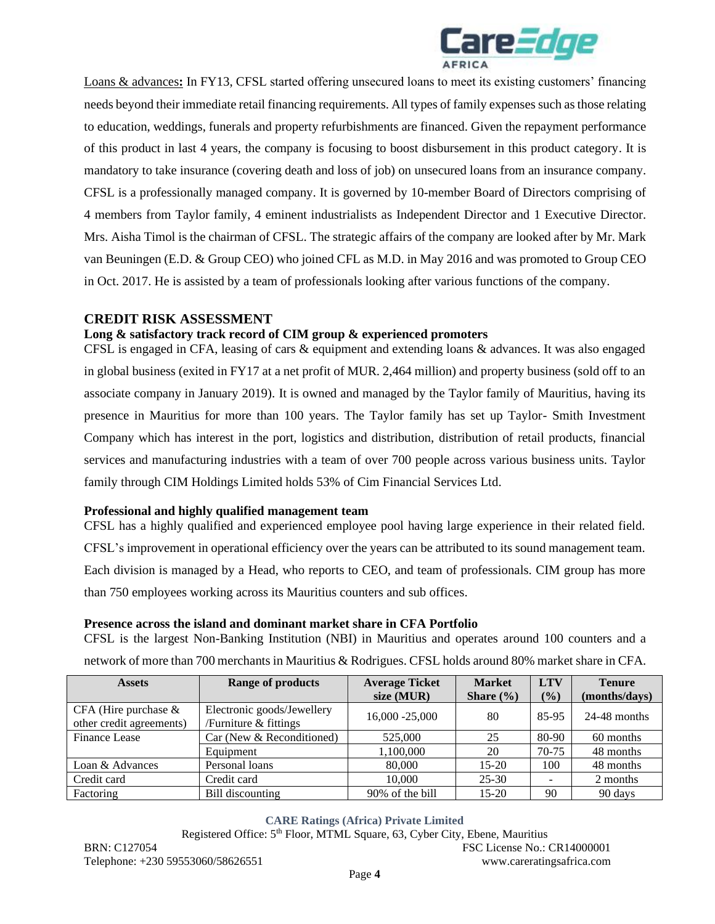

Loans & advances**:** In FY13, CFSL started offering unsecured loans to meet its existing customers' financing needs beyond their immediate retail financing requirements. All types of family expenses such as those relating to education, weddings, funerals and property refurbishments are financed. Given the repayment performance of this product in last 4 years, the company is focusing to boost disbursement in this product category. It is mandatory to take insurance (covering death and loss of job) on unsecured loans from an insurance company. CFSL is a professionally managed company. It is governed by 10-member Board of Directors comprising of 4 members from Taylor family, 4 eminent industrialists as Independent Director and 1 Executive Director. Mrs. Aisha Timol is the chairman of CFSL. The strategic affairs of the company are looked after by Mr. Mark van Beuningen (E.D. & Group CEO) who joined CFL as M.D. in May 2016 and was promoted to Group CEO in Oct. 2017. He is assisted by a team of professionals looking after various functions of the company.

## **CREDIT RISK ASSESSMENT**

## **Long & satisfactory track record of CIM group & experienced promoters**

CFSL is engaged in CFA, leasing of cars & equipment and extending loans & advances. It was also engaged in global business (exited in FY17 at a net profit of MUR. 2,464 million) and property business (sold off to an associate company in January 2019). It is owned and managed by the Taylor family of Mauritius, having its presence in Mauritius for more than 100 years. The Taylor family has set up Taylor- Smith Investment Company which has interest in the port, logistics and distribution, distribution of retail products, financial services and manufacturing industries with a team of over 700 people across various business units. Taylor family through CIM Holdings Limited holds 53% of Cim Financial Services Ltd.

### **Professional and highly qualified management team**

CFSL has a highly qualified and experienced employee pool having large experience in their related field. CFSL's improvement in operational efficiency over the years can be attributed to its sound management team. Each division is managed by a Head, who reports to CEO, and team of professionals. CIM group has more than 750 employees working across its Mauritius counters and sub offices.

### **Presence across the island and dominant market share in CFA Portfolio**

CFSL is the largest Non-Banking Institution (NBI) in Mauritius and operates around 100 counters and a network of more than 700 merchants in Mauritius & Rodrigues. CFSL holds around 80% market share in CFA.

| <b>Assets</b>                                       | <b>Range of products</b>                            |                 | <b>Market</b> | <b>LTV</b> | <b>Tenure</b>  |
|-----------------------------------------------------|-----------------------------------------------------|-----------------|---------------|------------|----------------|
|                                                     |                                                     | size $(MUR)$    | Share $(\% )$ | (%)        | (months/days)  |
| CFA (Hire purchase $\&$<br>other credit agreements) | Electronic goods/Jewellery<br>/Furniture & fittings | 16,000 -25,000  | 80            | 85-95      | $24-48$ months |
| <b>Finance Lease</b>                                | Car (New & Reconditioned)                           | 525,000         | 25            | 80-90      | 60 months      |
|                                                     | Equipment                                           | 1,100,000       | 20            | $70-75$    | 48 months      |
| Loan & Advances                                     | Personal loans                                      | 80,000          | $15 - 20$     | 100        | 48 months      |
| Credit card                                         | Credit card                                         | 10,000          | $25 - 30$     |            | 2 months       |
| Factoring                                           | Bill discounting                                    | 90% of the bill | $15 - 20$     | 90         | 90 days        |

### **CARE Ratings (Africa) Private Limited**

Registered Office: 5<sup>th</sup> Floor, MTML Square, 63, Cyber City, Ebene, Mauritius BRN: C127054 FSC License No.: CR14000001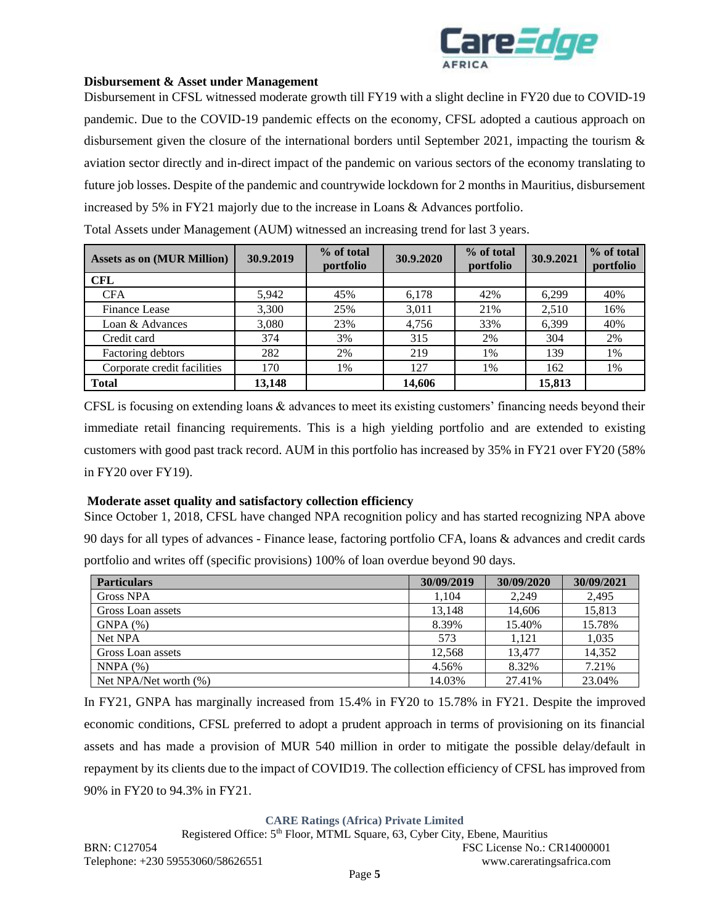

#### **Disbursement & Asset under Management**

Disbursement in CFSL witnessed moderate growth till FY19 with a slight decline in FY20 due to COVID-19 pandemic. Due to the COVID-19 pandemic effects on the economy, CFSL adopted a cautious approach on disbursement given the closure of the international borders until September 2021, impacting the tourism & aviation sector directly and in-direct impact of the pandemic on various sectors of the economy translating to future job losses. Despite of the pandemic and countrywide lockdown for 2 months in Mauritius, disbursement increased by 5% in FY21 majorly due to the increase in Loans & Advances portfolio.

| <b>Assets as on (MUR Million)</b> | 30.9.2019 | % of total<br>portfolio | 30.9.2020 | % of total<br>portfolio | 30.9.2021 | % of total<br>portfolio |
|-----------------------------------|-----------|-------------------------|-----------|-------------------------|-----------|-------------------------|
| <b>CFL</b>                        |           |                         |           |                         |           |                         |
| <b>CFA</b>                        | 5,942     | 45%                     | 6,178     | 42%                     | 6,299     | 40%                     |
| <b>Finance Lease</b>              | 3,300     | 25%                     | 3,011     | 21%                     | 2,510     | 16%                     |
| Loan & Advances                   | 3,080     | 23%                     | 4.756     | 33%                     | 6.399     | 40%                     |
| Credit card                       | 374       | 3%                      | 315       | 2%                      | 304       | 2%                      |
| Factoring debtors                 | 282       | 2%                      | 219       | 1%                      | 139       | 1%                      |
| Corporate credit facilities       | 170       | 1%                      | 127       | 1%                      | 162       | 1%                      |
| <b>Total</b>                      | 13,148    |                         | 14,606    |                         | 15,813    |                         |

Total Assets under Management (AUM) witnessed an increasing trend for last 3 years.

CFSL is focusing on extending loans & advances to meet its existing customers' financing needs beyond their immediate retail financing requirements. This is a high yielding portfolio and are extended to existing customers with good past track record. AUM in this portfolio has increased by 35% in FY21 over FY20 (58% in FY20 over FY19).

#### **Moderate asset quality and satisfactory collection efficiency**

Since October 1, 2018, CFSL have changed NPA recognition policy and has started recognizing NPA above 90 days for all types of advances - Finance lease, factoring portfolio CFA, loans & advances and credit cards portfolio and writes off (specific provisions) 100% of loan overdue beyond 90 days.

| <b>Particulars</b>    | 30/09/2019 | 30/09/2020 | 30/09/2021 |
|-----------------------|------------|------------|------------|
| <b>Gross NPA</b>      | 1.104      | 2.249      | 2,495      |
| Gross Loan assets     | 13,148     | 14,606     | 15,813     |
| GNPA(%)               | 8.39%      | 15.40%     | 15.78%     |
| Net NPA               | 573        | 1.121      | 1,035      |
| Gross Loan assets     | 12.568     | 13.477     | 14,352     |
| NNPA(%)               | 4.56%      | 8.32%      | 7.21%      |
| Net NPA/Net worth (%) | 14.03%     | 27.41%     | 23.04%     |

In FY21, GNPA has marginally increased from 15.4% in FY20 to 15.78% in FY21. Despite the improved economic conditions, CFSL preferred to adopt a prudent approach in terms of provisioning on its financial assets and has made a provision of MUR 540 million in order to mitigate the possible delay/default in repayment by its clients due to the impact of COVID19. The collection efficiency of CFSL has improved from 90% in FY20 to 94.3% in FY21.

**CARE Ratings (Africa) Private Limited**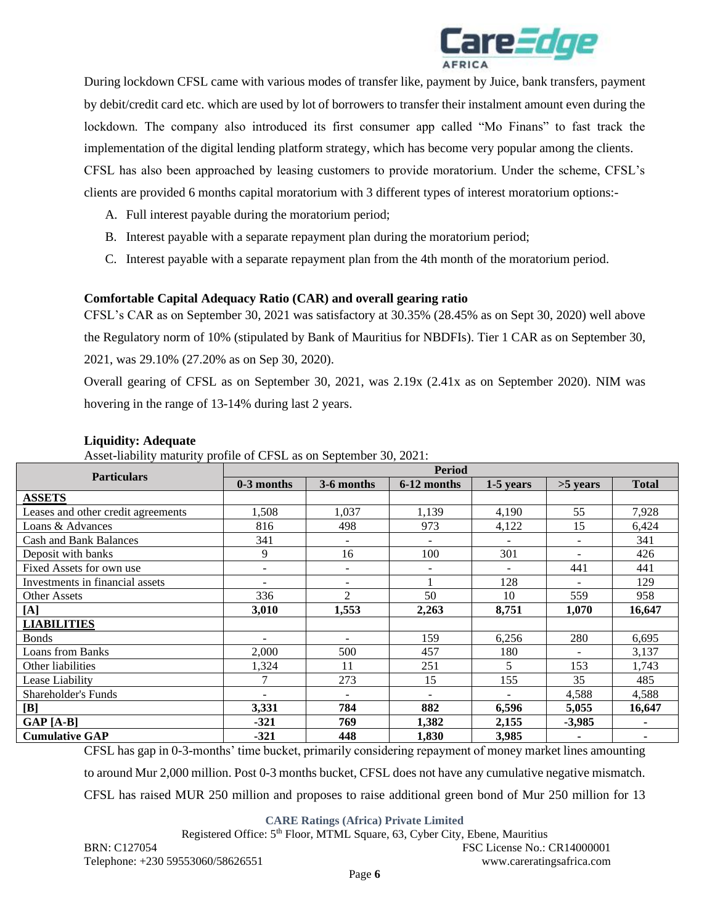

During lockdown CFSL came with various modes of transfer like, payment by Juice, bank transfers, payment by debit/credit card etc. which are used by lot of borrowers to transfer their instalment amount even during the lockdown. The company also introduced its first consumer app called "Mo Finans" to fast track the implementation of the digital lending platform strategy, which has become very popular among the clients. CFSL has also been approached by leasing customers to provide moratorium. Under the scheme, CFSL's clients are provided 6 months capital moratorium with 3 different types of interest moratorium options:-

- A. Full interest payable during the moratorium period;
- B. Interest payable with a separate repayment plan during the moratorium period;
- C. Interest payable with a separate repayment plan from the 4th month of the moratorium period.

### **Comfortable Capital Adequacy Ratio (CAR) and overall gearing ratio**

CFSL's CAR as on September 30, 2021 was satisfactory at 30.35% (28.45% as on Sept 30, 2020) well above the Regulatory norm of 10% (stipulated by Bank of Mauritius for NBDFIs). Tier 1 CAR as on September 30, 2021, was 29.10% (27.20% as on Sep 30, 2020).

Overall gearing of CFSL as on September 30, 2021, was 2.19x (2.41x as on September 2020). NIM was hovering in the range of 13-14% during last 2 years.

| <b>Particulars</b>                 | <b>Period</b>            |                   |                          |                          |                          |              |  |
|------------------------------------|--------------------------|-------------------|--------------------------|--------------------------|--------------------------|--------------|--|
|                                    | $0-3$ months             | 3-6 months        | 6-12 months              | 1-5 years                | >5 years                 | <b>Total</b> |  |
| <b>ASSETS</b>                      |                          |                   |                          |                          |                          |              |  |
| Leases and other credit agreements | 1,508                    | 1,037             | 1,139                    | 4,190                    | 55                       | 7,928        |  |
| Loans & Advances                   | 816                      | 498               | 973                      | 4,122                    | 15                       | 6,424        |  |
| <b>Cash and Bank Balances</b>      | 341                      |                   | $\overline{\phantom{a}}$ |                          | $\overline{\phantom{a}}$ | 341          |  |
| Deposit with banks                 | 9                        | 16                | 100                      | 301                      | $\overline{\phantom{a}}$ | 426          |  |
| Fixed Assets for own use           | $\overline{a}$           | $\qquad \qquad -$ | $\overline{\phantom{a}}$ | $\overline{\phantom{0}}$ | 441                      | 441          |  |
| Investments in financial assets    | $\overline{a}$           |                   |                          | 128                      | $\overline{\phantom{0}}$ | 129          |  |
| <b>Other Assets</b>                | 336                      | $\overline{2}$    | 50                       | 10                       | 559                      | 958          |  |
| [A]                                | 3,010                    | 1,553             | 2,263                    | 8,751                    | 1,070                    | 16,647       |  |
| <b>LIABILITIES</b>                 |                          |                   |                          |                          |                          |              |  |
| <b>Bonds</b>                       | $\overline{\phantom{0}}$ |                   | 159                      | 6,256                    | 280                      | 6,695        |  |
| <b>Loans from Banks</b>            | 2,000                    | 500               | 457                      | 180                      | ÷                        | 3,137        |  |
| Other liabilities                  | 1,324                    | 11                | 251                      | 5                        | 153                      | 1,743        |  |
| Lease Liability                    | 7                        | 273               | 15                       | 155                      | 35                       | 485          |  |
| Shareholder's Funds                | $\overline{\phantom{0}}$ | $\sim$            | $\overline{\phantom{0}}$ |                          | 4,588                    | 4,588        |  |
| $[\mathbf{B}]$                     | 3,331                    | 784               | 882                      | 6,596                    | 5,055                    | 16,647       |  |
| $GAP[A-B]$                         | $-321$                   | 769               | 1,382                    | 2,155                    | $-3,985$                 | ۰            |  |
| <b>Cumulative GAP</b>              | $-321$                   | 448               | 1,830                    | 3,985                    | $\blacksquare$           | ۰            |  |

## **Liquidity: Adequate**

Asset-liability maturity profile of CFSL as on September 30, 2021:

CFSL has gap in 0-3-months' time bucket, primarily considering repayment of money market lines amounting to around Mur 2,000 million. Post 0-3 months bucket, CFSL does not have any cumulative negative mismatch. CFSL has raised MUR 250 million and proposes to raise additional green bond of Mur 250 million for 13

**CARE Ratings (Africa) Private Limited**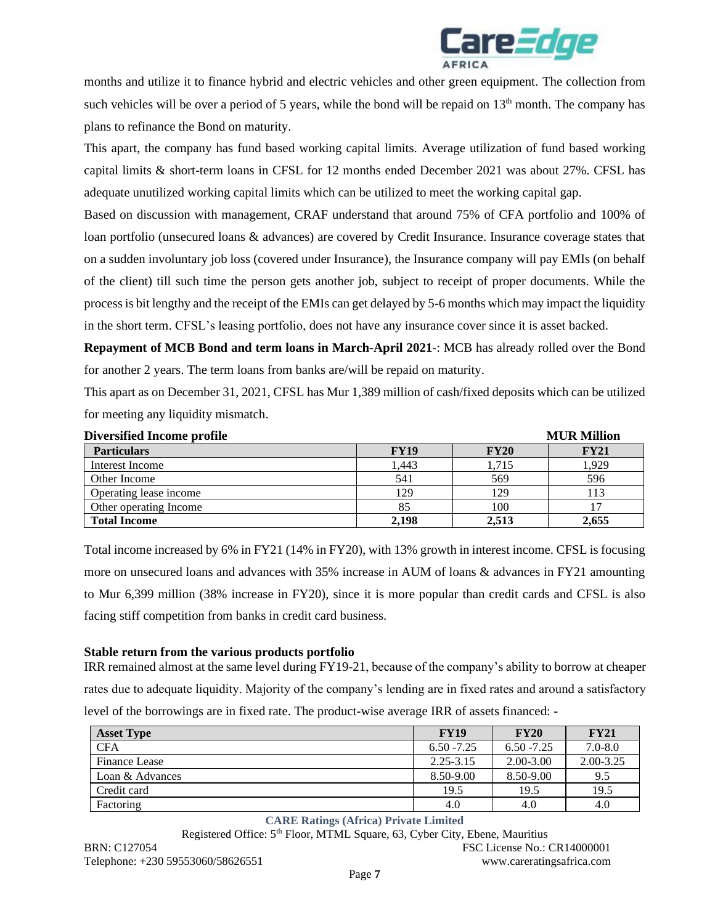

months and utilize it to finance hybrid and electric vehicles and other green equipment. The collection from such vehicles will be over a period of 5 years, while the bond will be repaid on  $13<sup>th</sup>$  month. The company has plans to refinance the Bond on maturity.

This apart, the company has fund based working capital limits. Average utilization of fund based working capital limits & short-term loans in CFSL for 12 months ended December 2021 was about 27%. CFSL has adequate unutilized working capital limits which can be utilized to meet the working capital gap.

Based on discussion with management, CRAF understand that around 75% of CFA portfolio and 100% of loan portfolio (unsecured loans & advances) are covered by Credit Insurance. Insurance coverage states that on a sudden involuntary job loss (covered under Insurance), the Insurance company will pay EMIs (on behalf of the client) till such time the person gets another job, subject to receipt of proper documents. While the process is bit lengthy and the receipt of the EMIs can get delayed by 5-6 months which may impact the liquidity in the short term. CFSL's leasing portfolio, does not have any insurance cover since it is asset backed.

**Repayment of MCB Bond and term loans in March-April 2021**-: MCB has already rolled over the Bond for another 2 years. The term loans from banks are/will be repaid on maturity.

This apart as on December 31, 2021, CFSL has Mur 1,389 million of cash/fixed deposits which can be utilized for meeting any liquidity mismatch.

| <b>Diversified Income profile</b> | <b>MUR Million</b> |             |             |
|-----------------------------------|--------------------|-------------|-------------|
| <b>Particulars</b>                | <b>FY19</b>        | <b>FY20</b> | <b>FY21</b> |
| Interest Income                   | 1.443              | 1.715       | 1,929       |
| Other Income                      | 541                | 569         | 596         |
| Operating lease income            | 129                | 129         | 113         |
| Other operating Income            | 85                 | 100         |             |
| <b>Total Income</b>               | 2,198              | 2.513       | 2,655       |

Total income increased by 6% in FY21 (14% in FY20), with 13% growth in interest income. CFSL is focusing more on unsecured loans and advances with 35% increase in AUM of loans & advances in FY21 amounting to Mur 6,399 million (38% increase in FY20), since it is more popular than credit cards and CFSL is also facing stiff competition from banks in credit card business.

### **Stable return from the various products portfolio**

IRR remained almost at the same level during FY19-21, because of the company's ability to borrow at cheaper rates due to adequate liquidity. Majority of the company's lending are in fixed rates and around a satisfactory level of the borrowings are in fixed rate. The product-wise average IRR of assets financed: -

| <b>Asset Type</b>    | <b>FY19</b>   | <b>FY20</b>   | <b>FY21</b>   |
|----------------------|---------------|---------------|---------------|
| <b>CFA</b>           | $6.50 - 7.25$ | $6.50 - 7.25$ | $7.0 - 8.0$   |
| <b>Finance Lease</b> | $2.25 - 3.15$ | $2.00 - 3.00$ | $2.00 - 3.25$ |
| Loan & Advances      | 8.50-9.00     | 8.50-9.00     | 9.5           |
| Credit card          | 19.5          | 19.5          | 19.5          |
| Factoring            | 4.0           | 4.0           | 4.0           |

#### **CARE Ratings (Africa) Private Limited**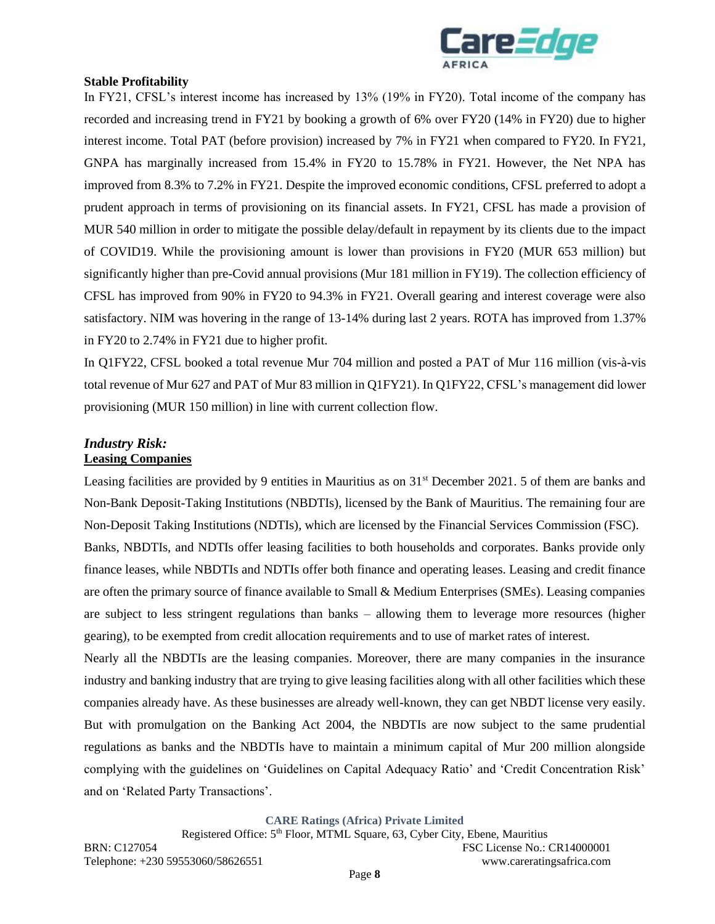

#### **Stable Profitability**

In FY21, CFSL's interest income has increased by 13% (19% in FY20). Total income of the company has recorded and increasing trend in FY21 by booking a growth of 6% over FY20 (14% in FY20) due to higher interest income. Total PAT (before provision) increased by 7% in FY21 when compared to FY20. In FY21, GNPA has marginally increased from 15.4% in FY20 to 15.78% in FY21. However, the Net NPA has improved from 8.3% to 7.2% in FY21. Despite the improved economic conditions, CFSL preferred to adopt a prudent approach in terms of provisioning on its financial assets. In FY21, CFSL has made a provision of MUR 540 million in order to mitigate the possible delay/default in repayment by its clients due to the impact of COVID19. While the provisioning amount is lower than provisions in FY20 (MUR 653 million) but significantly higher than pre-Covid annual provisions (Mur 181 million in FY19). The collection efficiency of CFSL has improved from 90% in FY20 to 94.3% in FY21. Overall gearing and interest coverage were also satisfactory. NIM was hovering in the range of 13-14% during last 2 years. ROTA has improved from 1.37% in FY20 to 2.74% in FY21 due to higher profit.

In Q1FY22, CFSL booked a total revenue Mur 704 million and posted a PAT of Mur 116 million (vis-à-vis total revenue of Mur 627 and PAT of Mur 83 million in Q1FY21). In Q1FY22, CFSL's management did lower provisioning (MUR 150 million) in line with current collection flow.

#### *Industry Risk:*  **Leasing Companies**

Leasing facilities are provided by 9 entities in Mauritius as on 31<sup>st</sup> December 2021. 5 of them are banks and Non-Bank Deposit-Taking Institutions (NBDTIs), licensed by the Bank of Mauritius. The remaining four are Non-Deposit Taking Institutions (NDTIs), which are licensed by the Financial Services Commission (FSC). Banks, NBDTIs, and NDTIs offer leasing facilities to both households and corporates. Banks provide only finance leases, while NBDTIs and NDTIs offer both finance and operating leases. Leasing and credit finance are often the primary source of finance available to Small & Medium Enterprises (SMEs). Leasing companies are subject to less stringent regulations than banks – allowing them to leverage more resources (higher gearing), to be exempted from credit allocation requirements and to use of market rates of interest. Nearly all the NBDTIs are the leasing companies. Moreover, there are many companies in the insurance industry and banking industry that are trying to give leasing facilities along with all other facilities which these companies already have. As these businesses are already well-known, they can get NBDT license very easily. But with promulgation on the Banking Act 2004, the NBDTIs are now subject to the same prudential regulations as banks and the NBDTIs have to maintain a minimum capital of Mur 200 million alongside complying with the guidelines on 'Guidelines on Capital Adequacy Ratio' and 'Credit Concentration Risk' and on 'Related Party Transactions'.

**CARE Ratings (Africa) Private Limited**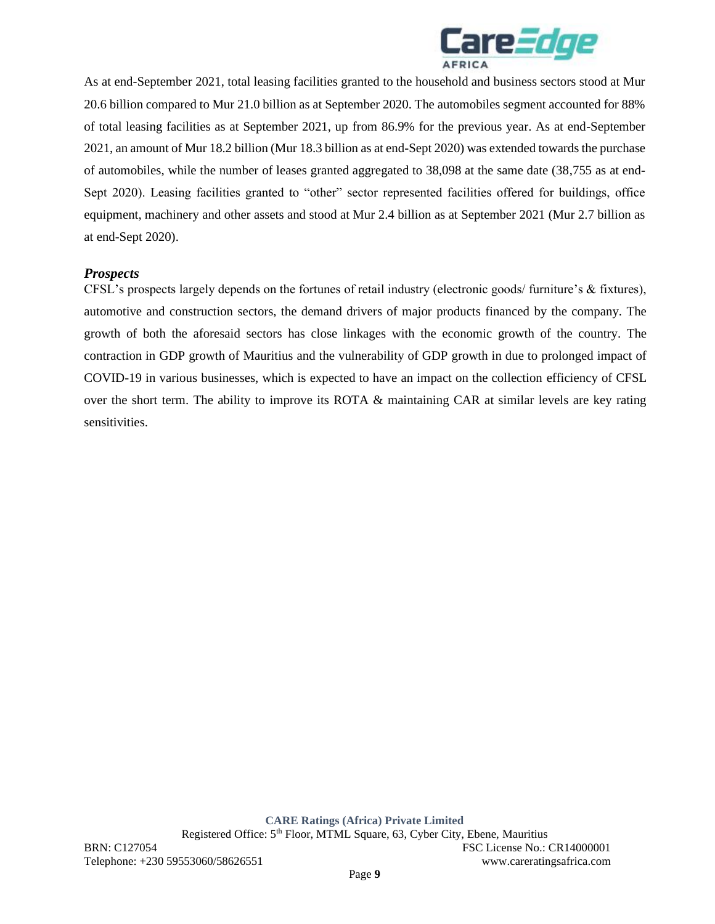

As at end-September 2021, total leasing facilities granted to the household and business sectors stood at Mur 20.6 billion compared to Mur 21.0 billion as at September 2020. The automobiles segment accounted for 88% of total leasing facilities as at September 2021, up from 86.9% for the previous year. As at end-September 2021, an amount of Mur 18.2 billion (Mur 18.3 billion as at end-Sept 2020) was extended towards the purchase of automobiles, while the number of leases granted aggregated to 38,098 at the same date (38,755 as at end-Sept 2020). Leasing facilities granted to "other" sector represented facilities offered for buildings, office equipment, machinery and other assets and stood at Mur 2.4 billion as at September 2021 (Mur 2.7 billion as at end-Sept 2020).

## *Prospects*

CFSL's prospects largely depends on the fortunes of retail industry (electronic goods/ furniture's & fixtures), automotive and construction sectors, the demand drivers of major products financed by the company. The growth of both the aforesaid sectors has close linkages with the economic growth of the country. The contraction in GDP growth of Mauritius and the vulnerability of GDP growth in due to prolonged impact of COVID-19 in various businesses, which is expected to have an impact on the collection efficiency of CFSL over the short term. The ability to improve its ROTA & maintaining CAR at similar levels are key rating sensitivities.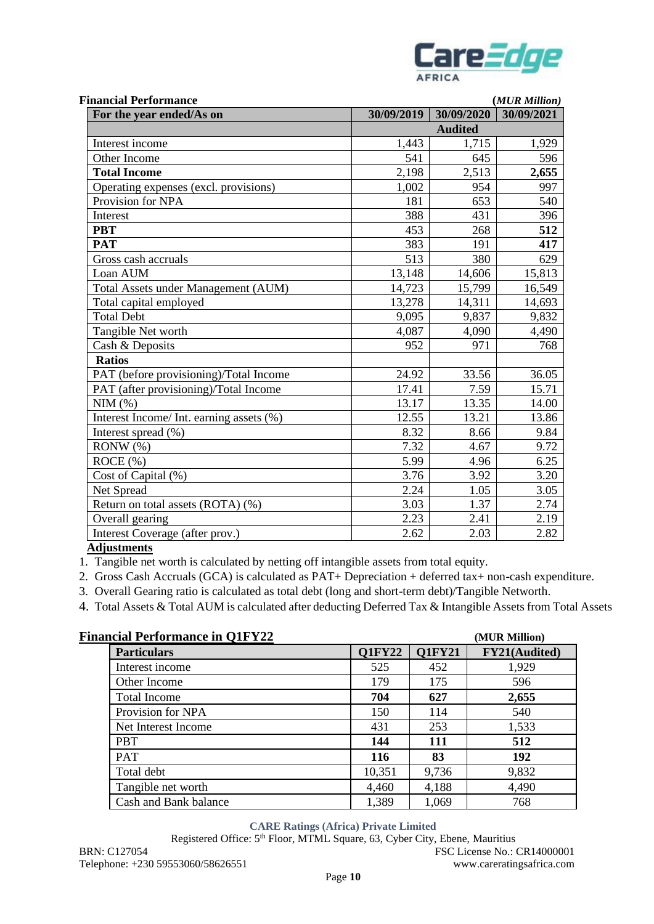

| <b>Financial Performance</b>             |            |                | (MUR Million) |  |
|------------------------------------------|------------|----------------|---------------|--|
| For the year ended/As on                 | 30/09/2019 | 30/09/2020     | 30/09/2021    |  |
|                                          |            | <b>Audited</b> |               |  |
| Interest income                          | 1,443      | 1,715          | 1,929         |  |
| Other Income                             | 541        | 645            | 596           |  |
| <b>Total Income</b>                      | 2,198      | 2,513          | 2,655         |  |
| Operating expenses (excl. provisions)    | 1,002      | 954            | 997           |  |
| Provision for NPA                        | 181        | 653            | 540           |  |
| Interest                                 | 388        | 431            | 396           |  |
| <b>PBT</b>                               | 453        | 268            | 512           |  |
| <b>PAT</b>                               | 383        | 191            | 417           |  |
| Gross cash accruals                      | 513        | 380            | 629           |  |
| Loan AUM                                 | 13,148     | 14,606         | 15,813        |  |
| Total Assets under Management (AUM)      | 14,723     | 15,799         | 16,549        |  |
| Total capital employed                   | 13,278     | 14,311         | 14,693        |  |
| <b>Total Debt</b>                        | 9,095      | 9,837          | 9,832         |  |
| Tangible Net worth                       | 4,087      | 4,090          | 4,490         |  |
| Cash & Deposits                          | 952        | 971            | 768           |  |
| <b>Ratios</b>                            |            |                |               |  |
| PAT (before provisioning)/Total Income   | 24.92      | 33.56          | 36.05         |  |
| PAT (after provisioning)/Total Income    | 17.41      | 7.59           | 15.71         |  |
| NIM(%)                                   | 13.17      | 13.35          | 14.00         |  |
| Interest Income/ Int. earning assets (%) | 12.55      | 13.21          | 13.86         |  |
| Interest spread (%)                      | 8.32       | 8.66           | 9.84          |  |
| $RONW(\%)$                               | 7.32       | 4.67           | 9.72          |  |
| ROCE(%)                                  | 5.99       | 4.96           | 6.25          |  |
| Cost of Capital (%)                      | 3.76       | 3.92           | 3.20          |  |
| Net Spread                               | 2.24       | 1.05           | 3.05          |  |
| Return on total assets (ROTA) (%)        | 3.03       | 1.37           | 2.74          |  |
| Overall gearing                          | 2.23       | 2.41           | 2.19          |  |
| Interest Coverage (after prov.)          | 2.62       | 2.03           | 2.82          |  |

## **Adjustments**

1. Tangible net worth is calculated by netting off intangible assets from total equity.

2. Gross Cash Accruals (GCA) is calculated as PAT+ Depreciation + deferred tax+ non-cash expenditure.

3. Overall Gearing ratio is calculated as total debt (long and short-term debt)/Tangible Networth.

4. Total Assets & Total AUM is calculated after deducting Deferred Tax & Intangible Assets from Total Assets

| <b>Financial Performance in Q1FY22</b> |               |               | (MUR Million) |
|----------------------------------------|---------------|---------------|---------------|
| <b>Particulars</b>                     | <b>Q1FY22</b> | <b>Q1FY21</b> | FY21(Audited) |
| Interest income                        | 525           | 452           | 1,929         |
| Other Income                           | 179           | 175           | 596           |
| <b>Total Income</b>                    | 704           | 627           | 2,655         |
| Provision for NPA                      | 150           | 114           | 540           |
| Net Interest Income                    | 431           | 253           | 1,533         |
| <b>PBT</b>                             | 144           | 111           | 512           |
| <b>PAT</b>                             | <b>116</b>    | 83            | <b>192</b>    |
| Total debt                             | 10,351        | 9,736         | 9,832         |
| Tangible net worth                     | 4,460         | 4,188         | 4,490         |
| Cash and Bank balance                  | 1,389         | 1,069         | 768           |

## **CARE Ratings (Africa) Private Limited**